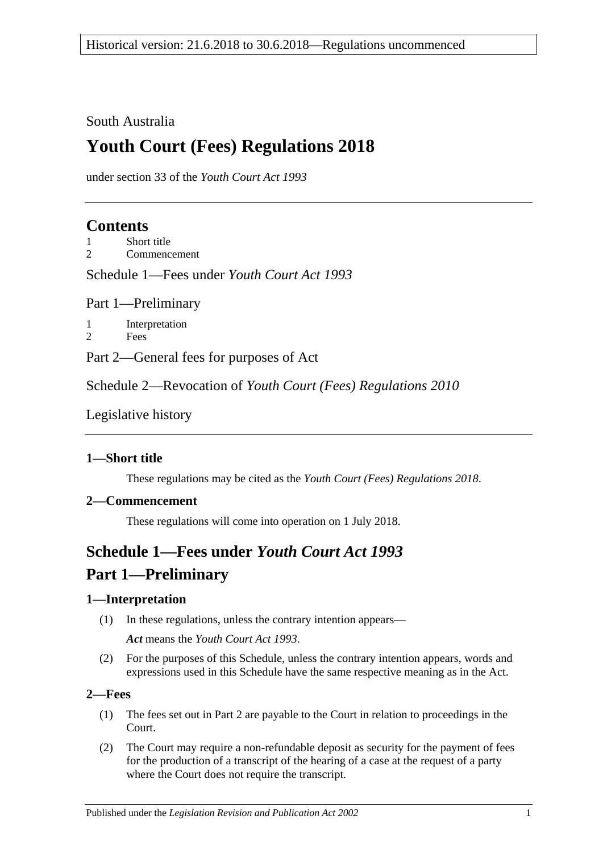South Australia

# **Youth Court (Fees) Regulations 2018**

under section 33 of the *Youth Court Act 1993*

### **Contents**

1 [Short title](#page-0-0)

2 [Commencement](#page-0-1)

Schedule 1—Fees under *[Youth Court Act](#page-0-2) 1993*

Part 1—Preliminary

1 [Interpretation](#page-0-3) 2 [Fees](#page-0-4)

Part 2—General fees for purposes of Act

Schedule 2—Revocation of *[Youth Court \(Fees\) Regulations](#page-1-0) 2010*

[Legislative history](#page-2-0)

#### <span id="page-0-0"></span>**1—Short title**

These regulations may be cited as the *Youth Court (Fees) Regulations 2018*.

#### <span id="page-0-1"></span>**2—Commencement**

These regulations will come into operation on 1 July 2018.

# <span id="page-0-2"></span>**Schedule 1—Fees under** *Youth Court Act 1993* **Part 1—Preliminary**

#### <span id="page-0-3"></span>**1—Interpretation**

- (1) In these regulations, unless the contrary intention appears— *Act* means the *[Youth Court Act](http://www.legislation.sa.gov.au/index.aspx?action=legref&type=act&legtitle=Youth%20Court%20Act%201993) 1993*.
- (2) For the purposes of this Schedule, unless the contrary intention appears, words and expressions used in this Schedule have the same respective meaning as in the Act.

#### <span id="page-0-4"></span>**2—Fees**

- (1) The fees set out in Part 2 are payable to the Court in relation to proceedings in the Court.
- (2) The Court may require a non-refundable deposit as security for the payment of fees for the production of a transcript of the hearing of a case at the request of a party where the Court does not require the transcript.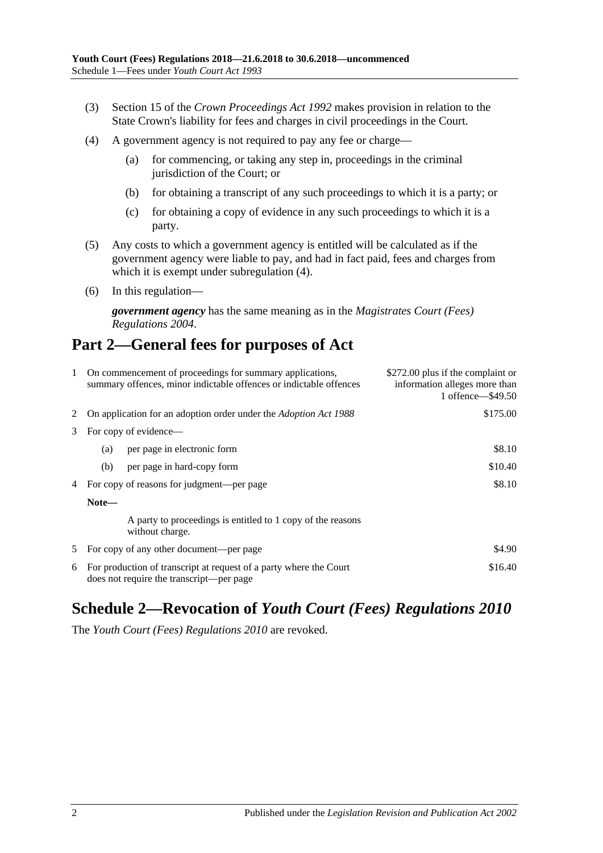- (3) Section 15 of the *[Crown Proceedings Act](http://www.legislation.sa.gov.au/index.aspx?action=legref&type=act&legtitle=Crown%20Proceedings%20Act%201992) 1992* makes provision in relation to the State Crown's liability for fees and charges in civil proceedings in the Court.
- <span id="page-1-1"></span>(4) A government agency is not required to pay any fee or charge—
	- (a) for commencing, or taking any step in, proceedings in the criminal jurisdiction of the Court; or
	- (b) for obtaining a transcript of any such proceedings to which it is a party; or
	- (c) for obtaining a copy of evidence in any such proceedings to which it is a party.
- (5) Any costs to which a government agency is entitled will be calculated as if the government agency were liable to pay, and had in fact paid, fees and charges from which it is exempt under [subregulation](#page-1-1)  $(4)$ .
- (6) In this regulation—

*government agency* has the same meaning as in the *[Magistrates Court \(Fees\)](http://www.legislation.sa.gov.au/index.aspx?action=legref&type=subordleg&legtitle=Magistrates%20Court%20(Fees)%20Regulations%202004)  [Regulations](http://www.legislation.sa.gov.au/index.aspx?action=legref&type=subordleg&legtitle=Magistrates%20Court%20(Fees)%20Regulations%202004) 2004*.

## **Part 2—General fees for purposes of Act**

| 1 | On commencement of proceedings for summary applications,<br>summary offences, minor indictable offences or indictable offences | \$272.00 plus if the complaint or<br>information alleges more than<br>1 offence - \$49.50 |  |  |
|---|--------------------------------------------------------------------------------------------------------------------------------|-------------------------------------------------------------------------------------------|--|--|
|   | On application for an adoption order under the <i>Adoption Act 1988</i>                                                        | \$175.00                                                                                  |  |  |
| 3 | For copy of evidence—                                                                                                          |                                                                                           |  |  |
|   | per page in electronic form<br>(a)                                                                                             | \$8.10                                                                                    |  |  |
|   | per page in hard-copy form<br>(b)                                                                                              | \$10.40                                                                                   |  |  |
| 4 | For copy of reasons for judgment—per page                                                                                      | \$8.10                                                                                    |  |  |
|   | Note—                                                                                                                          |                                                                                           |  |  |
|   | A party to proceedings is entitled to 1 copy of the reasons<br>without charge.                                                 |                                                                                           |  |  |
| 5 | \$4.90<br>For copy of any other document—per page                                                                              |                                                                                           |  |  |
| 6 | \$16.40<br>For production of transcript at request of a party where the Court<br>does not require the transcript—per page      |                                                                                           |  |  |

## <span id="page-1-0"></span>**Schedule 2—Revocation of** *Youth Court (Fees) Regulations 2010*

The *[Youth Court \(Fees\) Regulations](http://www.legislation.sa.gov.au/index.aspx?action=legref&type=subordleg&legtitle=Youth%20Court%20(Fees)%20Regulations%202010) 2010* are revoked.